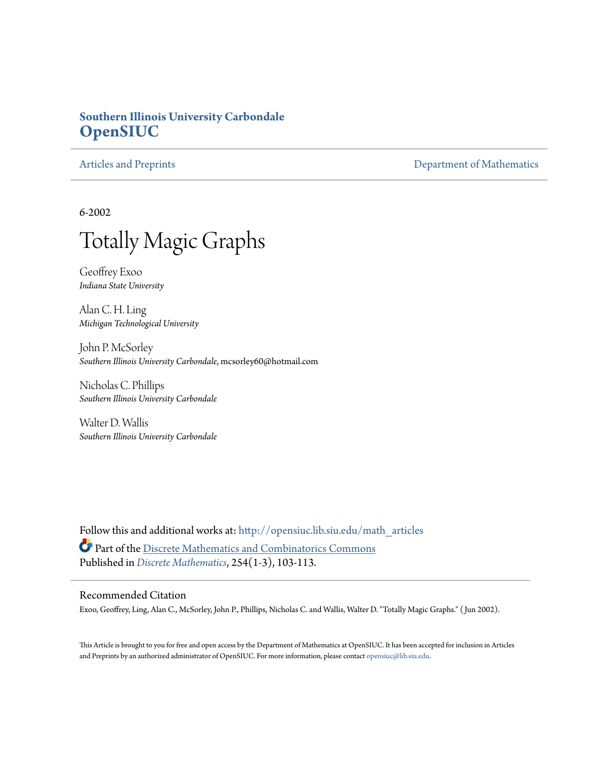# **Southern Illinois University Carbondale [OpenSIUC](http://opensiuc.lib.siu.edu?utm_source=opensiuc.lib.siu.edu%2Fmath_articles%2F40&utm_medium=PDF&utm_campaign=PDFCoverPages)**

[Articles and Preprints](http://opensiuc.lib.siu.edu/math_articles?utm_source=opensiuc.lib.siu.edu%2Fmath_articles%2F40&utm_medium=PDF&utm_campaign=PDFCoverPages) **[Department of Mathematics](http://opensiuc.lib.siu.edu/math?utm_source=opensiuc.lib.siu.edu%2Fmath_articles%2F40&utm_medium=PDF&utm_campaign=PDFCoverPages)** 

6-2002



Geoffrey Exoo *Indiana State University*

Alan C. H. Ling *Michigan Technological University*

John P. McSorley *Southern Illinois University Carbondale*, mcsorley60@hotmail.com

Nicholas C. Phillips *Southern Illinois University Carbondale*

Walter D. Wallis *Southern Illinois University Carbondale*

Follow this and additional works at: [http://opensiuc.lib.siu.edu/math\\_articles](http://opensiuc.lib.siu.edu/math_articles?utm_source=opensiuc.lib.siu.edu%2Fmath_articles%2F40&utm_medium=PDF&utm_campaign=PDFCoverPages) Part of the [Discrete Mathematics and Combinatorics Commons](http://network.bepress.com/hgg/discipline/178?utm_source=opensiuc.lib.siu.edu%2Fmath_articles%2F40&utm_medium=PDF&utm_campaign=PDFCoverPages) Published in *[Discrete Mathematics](http://www.elsevier.com/wps/find/journaldescription.cws_home/505610/description#description)*, 254(1-3), 103-113.

### Recommended Citation

Exoo, Geoffrey, Ling, Alan C., McSorley, John P., Phillips, Nicholas C. and Wallis, Walter D. "Totally Magic Graphs." ( Jun 2002).

This Article is brought to you for free and open access by the Department of Mathematics at OpenSIUC. It has been accepted for inclusion in Articles and Preprints by an authorized administrator of OpenSIUC. For more information, please contact [opensiuc@lib.siu.edu](mailto:opensiuc@lib.siu.edu).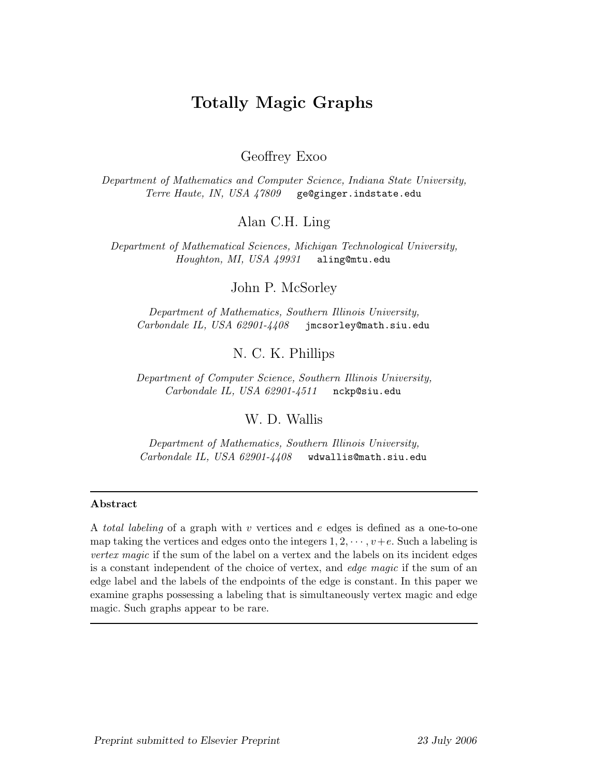# **Totally Magic Graphs**

Geoffrey Exoo

*Department of Mathematics and Computer Science, Indiana State University, Terre Haute, IN, USA 47809* ge@ginger.indstate.edu

Alan C.H. Ling

*Department of Mathematical Sciences, Michigan Technological University, Houghton, MI, USA 49931* aling@mtu.edu

John P. McSorley

*Department of Mathematics, Southern Illinois University, Carbondale IL, USA 62901-4408* jmcsorley@math.siu.edu

N. C. K. Phillips

*Department of Computer Science, Southern Illinois University, Carbondale IL, USA 62901-4511* nckp@siu.edu

W. D. Wallis

*Department of Mathematics, Southern Illinois University, Carbondale IL, USA 62901-4408* wdwallis@math.siu.edu

#### **Abstract**

A *total labeling* of a graph with v vertices and e edges is defined as a one-to-one map taking the vertices and edges onto the integers  $1, 2, \dots, v+e$ . Such a labeling is *vertex magic* if the sum of the label on a vertex and the labels on its incident edges is a constant independent of the choice of vertex, and *edge magic* if the sum of an edge label and the labels of the endpoints of the edge is constant. In this paper we examine graphs possessing a labeling that is simultaneously vertex magic and edge magic. Such graphs appear to be rare.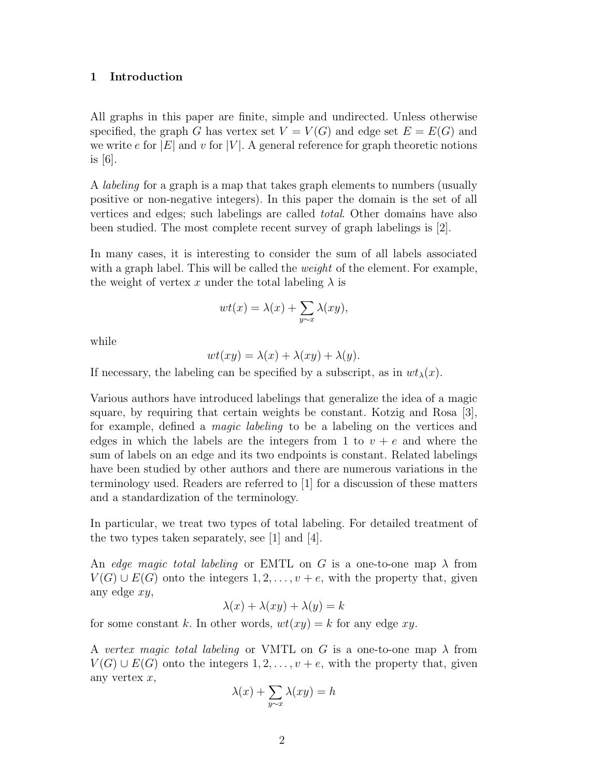#### **1 Introduction**

All graphs in this paper are finite, simple and undirected. Unless otherwise specified, the graph G has vertex set  $V = V(G)$  and edge set  $E = E(G)$  and we write e for  $|E|$  and v for  $|V|$ . A general reference for graph theoretic notions is [6].

A labeling for a graph is a map that takes graph elements to numbers (usually positive or non-negative integers). In this paper the domain is the set of all vertices and edges; such labelings are called total. Other domains have also been studied. The most complete recent survey of graph labelings is [2].

In many cases, it is interesting to consider the sum of all labels associated with a graph label. This will be called the *weight* of the element. For example, the weight of vertex x under the total labeling  $\lambda$  is

$$
wt(x) = \lambda(x) + \sum_{y \sim x} \lambda(xy),
$$

while

$$
wt(xy) = \lambda(x) + \lambda(xy) + \lambda(y).
$$

If necessary, the labeling can be specified by a subscript, as in  $wt_{\lambda}(x)$ .

Various authors have introduced labelings that generalize the idea of a magic square, by requiring that certain weights be constant. Kotzig and Rosa [3], for example, defined a magic labeling to be a labeling on the vertices and edges in which the labels are the integers from 1 to  $v + e$  and where the sum of labels on an edge and its two endpoints is constant. Related labelings have been studied by other authors and there are numerous variations in the terminology used. Readers are referred to [1] for a discussion of these matters and a standardization of the terminology.

In particular, we treat two types of total labeling. For detailed treatment of the two types taken separately, see  $|1|$  and  $|4|$ .

An edge magic total labeling or EMTL on G is a one-to-one map  $\lambda$  from  $V(G) \cup E(G)$  onto the integers  $1, 2, \ldots, v + e$ , with the property that, given any edge xy,

 $\lambda(x) + \lambda(xy) + \lambda(y) = k$ 

for some constant k. In other words,  $wt(xy) = k$  for any edge xy.

A vertex magic total labeling or VMTL on G is a one-to-one map  $\lambda$  from  $V(G) \cup E(G)$  onto the integers  $1, 2, \ldots, v + e$ , with the property that, given any vertex  $x$ ,

$$
\lambda(x) + \sum_{y \sim x} \lambda(xy) = h
$$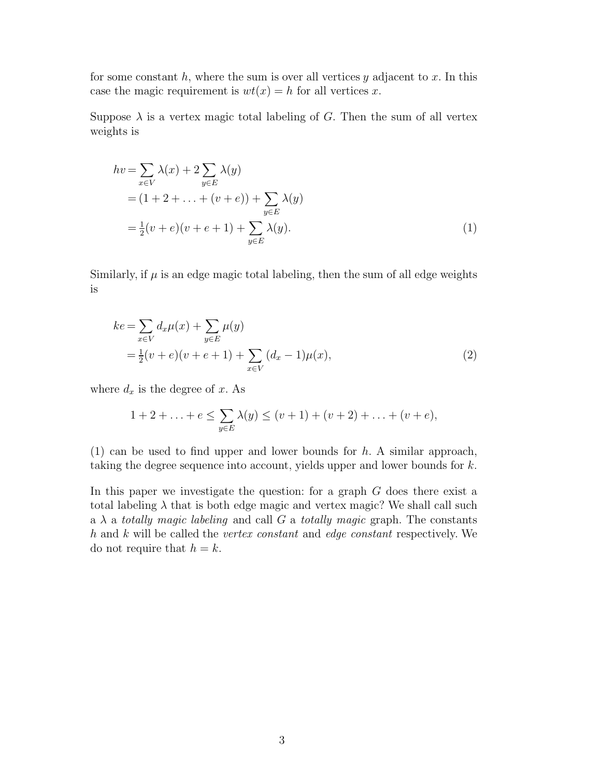for some constant h, where the sum is over all vertices  $y$  adjacent to x. In this case the magic requirement is  $wt(x) = h$  for all vertices x.

Suppose  $\lambda$  is a vertex magic total labeling of G. Then the sum of all vertex weights is

$$
hv = \sum_{x \in V} \lambda(x) + 2 \sum_{y \in E} \lambda(y)
$$
  
=  $(1 + 2 + ... + (v + e)) + \sum_{y \in E} \lambda(y)$   
=  $\frac{1}{2}(v + e)(v + e + 1) + \sum_{y \in E} \lambda(y).$  (1)

Similarly, if  $\mu$  is an edge magic total labeling, then the sum of all edge weights is

$$
ke = \sum_{x \in V} d_x \mu(x) + \sum_{y \in E} \mu(y)
$$
  
=  $\frac{1}{2} (v + e)(v + e + 1) + \sum_{x \in V} (d_x - 1)\mu(x),$  (2)

where  $d_x$  is the degree of x. As

$$
1 + 2 + \ldots + e \le \sum_{y \in E} \lambda(y) \le (v + 1) + (v + 2) + \ldots + (v + e),
$$

(1) can be used to find upper and lower bounds for  $h$ . A similar approach, taking the degree sequence into account, yields upper and lower bounds for k.

In this paper we investigate the question: for a graph  $G$  does there exist a total labeling  $\lambda$  that is both edge magic and vertex magic? We shall call such a  $\lambda$  a totally magic labeling and call G a totally magic graph. The constants h and k will be called the vertex constant and edge constant respectively. We do not require that  $h = k$ .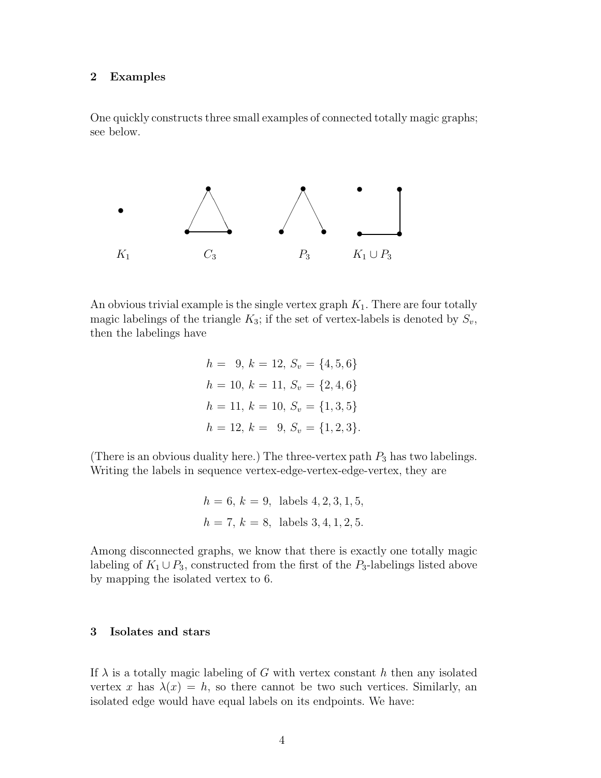#### **2 Examples**

One quickly constructs three small examples of connected totally magic graphs; see below.



An obvious trivial example is the single vertex graph  $K_1$ . There are four totally magic labelings of the triangle  $K_3$ ; if the set of vertex-labels is denoted by  $S_v$ , then the labelings have

$$
h = 9, k = 12, S_v = \{4, 5, 6\}
$$

$$
h = 10, k = 11, S_v = \{2, 4, 6\}
$$

$$
h = 11, k = 10, S_v = \{1, 3, 5\}
$$

$$
h = 12, k = 9, S_v = \{1, 2, 3\}.
$$

(There is an obvious duality here.) The three-vertex path  $P_3$  has two labelings. Writing the labels in sequence vertex-edge-vertex-edge-vertex, they are

$$
h = 6, k = 9
$$
, labels 4, 2, 3, 1, 5,  
 $h = 7, k = 8$ , labels 3, 4, 1, 2, 5.

Among disconnected graphs, we know that there is exactly one totally magic labeling of  $K_1 \cup P_3$ , constructed from the first of the  $P_3$ -labelings listed above by mapping the isolated vertex to 6.

#### **3 Isolates and stars**

If  $\lambda$  is a totally magic labeling of G with vertex constant h then any isolated vertex x has  $\lambda(x) = h$ , so there cannot be two such vertices. Similarly, an isolated edge would have equal labels on its endpoints. We have: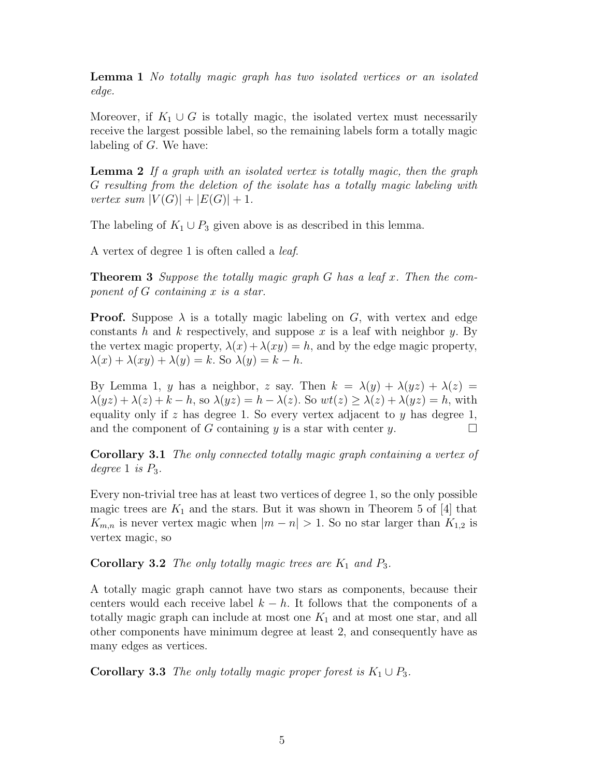**Lemma 1** No totally magic graph has two isolated vertices or an isolated edge.

Moreover, if  $K_1 \cup G$  is totally magic, the isolated vertex must necessarily receive the largest possible label, so the remaining labels form a totally magic labeling of G. We have:

**Lemma 2** If a graph with an isolated vertex is totally magic, then the graph G resulting from the deletion of the isolate has a totally magic labeling with vertex sum  $|V(G)| + |E(G)| + 1$ .

The labeling of  $K_1 \cup P_3$  given above is as described in this lemma.

A vertex of degree 1 is often called a leaf.

**Theorem 3** Suppose the totally magic graph G has a leaf x. Then the component of G containing x is a star.

**Proof.** Suppose  $\lambda$  is a totally magic labeling on G, with vertex and edge constants h and k respectively, and suppose x is a leaf with neighbor y. By the vertex magic property,  $\lambda(x) + \lambda(xy) = h$ , and by the edge magic property,  $\lambda(x) + \lambda(xy) + \lambda(y) = k$ . So  $\lambda(y) = k - h$ .

By Lemma 1, y has a neighbor, z say. Then  $k = \lambda(y) + \lambda(yz) + \lambda(z) =$  $\lambda(yz) + \lambda(z) + k - h$ , so  $\lambda(yz) = h - \lambda(z)$ . So  $wt(z) \geq \lambda(z) + \lambda(yz) = h$ , with equality only if z has degree 1. So every vertex adjacent to  $y$  has degree 1, and the component of G containing y is a star with center y.  $\Box$ 

**Corollary 3.1** The only connected totally magic graph containing a vertex of degree 1 is  $P_3$ .

Every non-trivial tree has at least two vertices of degree 1, so the only possible magic trees are  $K_1$  and the stars. But it was shown in Theorem 5 of [4] that  $K_{m,n}$  is never vertex magic when  $|m - n| > 1$ . So no star larger than  $K_{1,2}$  is vertex magic, so

**Corollary 3.2** The only totally magic trees are  $K_1$  and  $P_3$ .

A totally magic graph cannot have two stars as components, because their centers would each receive label  $k - h$ . It follows that the components of a totally magic graph can include at most one  $K_1$  and at most one star, and all other components have minimum degree at least 2, and consequently have as many edges as vertices.

**Corollary 3.3** The only totally magic proper forest is  $K_1 \cup P_3$ .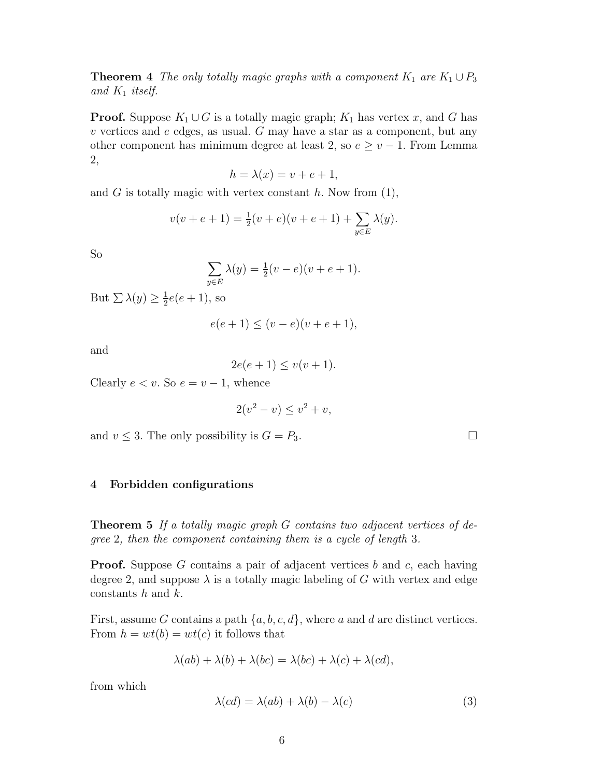**Theorem 4** The only totally magic graphs with a component  $K_1$  are  $K_1 \cup P_3$ and  $K_1$  itself.

**Proof.** Suppose  $K_1 \cup G$  is a totally magic graph;  $K_1$  has vertex x, and G has  $v$  vertices and  $e$  edges, as usual.  $G$  may have a star as a component, but any other component has minimum degree at least 2, so  $e \ge v - 1$ . From Lemma 2,

$$
h = \lambda(x) = v + e + 1,
$$

and G is totally magic with vertex constant  $h$ . Now from  $(1)$ ,

$$
v(v + e + 1) = \frac{1}{2}(v + e)(v + e + 1) + \sum_{y \in E} \lambda(y).
$$

So

$$
\sum_{y \in E} \lambda(y) = \frac{1}{2}(v - e)(v + e + 1).
$$

But  $\sum \lambda(y) \geq \frac{1}{2}e(e+1)$ , so

$$
e(e+1) \le (v-e)(v+e+1),
$$

and

$$
2e(e+1) \le v(v+1).
$$

Clearly  $e < v$ . So  $e = v - 1$ , whence

$$
2(v^2 - v) \le v^2 + v,
$$

and  $v \leq 3$ . The only possibility is  $G = P_3$ .

#### **4 Forbidden configurations**

**Theorem 5** If a totally magic graph G contains two adjacent vertices of degree 2, then the component containing them is a cycle of length 3.

**Proof.** Suppose G contains a pair of adjacent vertices b and c, each having degree 2, and suppose  $\lambda$  is a totally magic labeling of G with vertex and edge constants  $h$  and  $k$ .

First, assume G contains a path  $\{a, b, c, d\}$ , where a and d are distinct vertices. From  $h = wt(b) = wt(c)$  it follows that

$$
\lambda(ab) + \lambda(b) + \lambda(bc) = \lambda(bc) + \lambda(c) + \lambda(cd),
$$

from which

$$
\lambda(cd) = \lambda(ab) + \lambda(b) - \lambda(c) \tag{3}
$$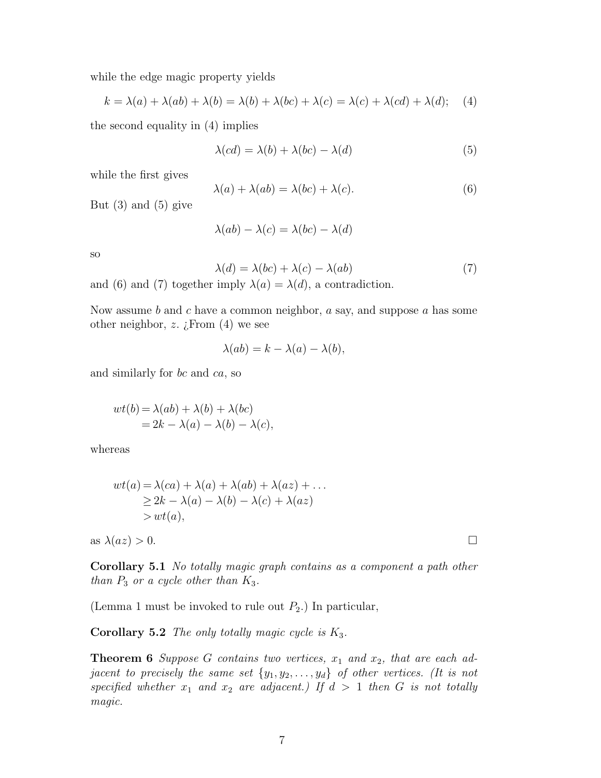while the edge magic property yields

$$
k = \lambda(a) + \lambda(ab) + \lambda(b) = \lambda(b) + \lambda(bc) + \lambda(c) = \lambda(c) + \lambda(cd) + \lambda(d); \quad (4)
$$

the second equality in (4) implies

$$
\lambda(cd) = \lambda(b) + \lambda(bc) - \lambda(d) \tag{5}
$$

while the first gives

$$
\lambda(a) + \lambda(ab) = \lambda(bc) + \lambda(c). \tag{6}
$$

But  $(3)$  and  $(5)$  give

$$
\lambda(ab) - \lambda(c) = \lambda(bc) - \lambda(d)
$$

so

$$
\lambda(d) = \lambda(bc) + \lambda(c) - \lambda(ab) \tag{7}
$$

and (6) and (7) together imply  $\lambda(a) = \lambda(d)$ , a contradiction.

Now assume b and c have a common neighbor,  $a$  say, and suppose  $a$  has some other neighbor, z.  $i$ From  $(4)$  we see

$$
\lambda(ab) = k - \lambda(a) - \lambda(b),
$$

and similarly for bc and ca, so

$$
wt(b) = \lambda(ab) + \lambda(b) + \lambda(bc)
$$
  
= 2k - \lambda(a) - \lambda(b) - \lambda(c),

whereas

$$
wt(a) = \lambda(ca) + \lambda(a) + \lambda(ab) + \lambda(az) + \dots
$$
  
\n
$$
\geq 2k - \lambda(a) - \lambda(b) - \lambda(c) + \lambda(az)
$$
  
\n
$$
> wt(a),
$$

as  $\lambda(az) > 0$ .

**Corollary 5.1** No totally magic graph contains as a component a path other than  $P_3$  or a cycle other than  $K_3$ .

(Lemma 1 must be invoked to rule out  $P_2$ .) In particular,

**Corollary 5.2** The only totally magic cycle is  $K_3$ .

**Theorem 6** Suppose G contains two vertices,  $x_1$  and  $x_2$ , that are each adjacent to precisely the same set  $\{y_1, y_2, \ldots, y_d\}$  of other vertices. (It is not specified whether  $x_1$  and  $x_2$  are adjacent.) If  $d > 1$  then G is not totally magic.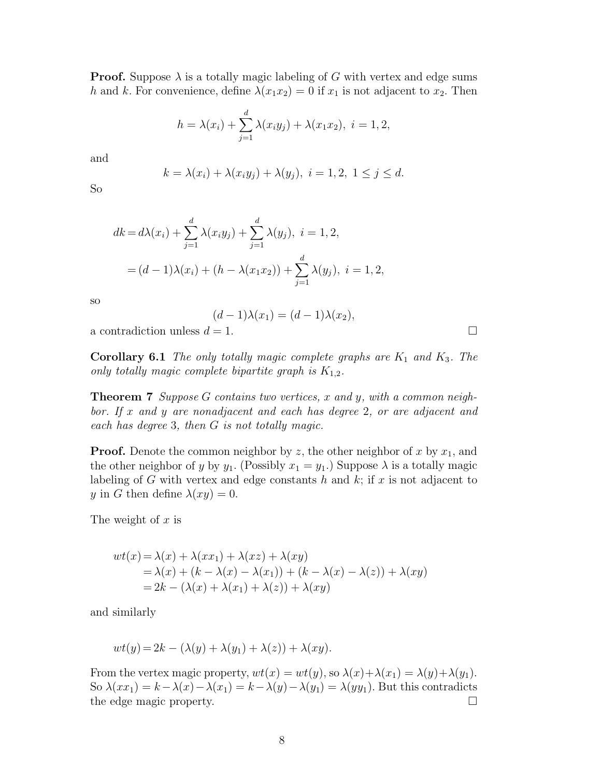**Proof.** Suppose  $\lambda$  is a totally magic labeling of G with vertex and edge sums h and k. For convenience, define  $\lambda(x_1x_2) = 0$  if  $x_1$  is not adjacent to  $x_2$ . Then

$$
h = \lambda(x_i) + \sum_{j=1}^{d} \lambda(x_i y_j) + \lambda(x_1 x_2), \ i = 1, 2,
$$

and

$$
k = \lambda(x_i) + \lambda(x_iy_j) + \lambda(y_j), \quad i = 1, 2, 1 \le j \le d.
$$

So

$$
dk = d\lambda(x_i) + \sum_{j=1}^d \lambda(x_i y_j) + \sum_{j=1}^d \lambda(y_j), \quad i = 1, 2,
$$
  
=  $(d - 1)\lambda(x_i) + (h - \lambda(x_1 x_2)) + \sum_{j=1}^d \lambda(y_j), \quad i = 1, 2,$ 

so

$$
(d-1)\lambda(x_1) = (d-1)\lambda(x_2),
$$

a contradiction unless  $d = 1$ .

**Corollary 6.1** The only totally magic complete graphs are  $K_1$  and  $K_3$ . The only totally magic complete bipartite graph is  $K_{1,2}$ .

**Theorem 7** Suppose G contains two vertices, x and y, with a common neighbor. If x and y are nonadjacent and each has degree 2, or are adjacent and each has degree 3, then G is not totally magic.

**Proof.** Denote the common neighbor by z, the other neighbor of x by  $x_1$ , and the other neighbor of y by  $y_1$ . (Possibly  $x_1 = y_1$ .) Suppose  $\lambda$  is a totally magic labeling of G with vertex and edge constants h and  $k$ ; if x is not adjacent to y in G then define  $\lambda(xy) = 0$ .

The weight of  $x$  is

$$
wt(x) = \lambda(x) + \lambda(xx_1) + \lambda(xz) + \lambda(xy)
$$
  
=  $\lambda(x) + (k - \lambda(x) - \lambda(x_1)) + (k - \lambda(x) - \lambda(z)) + \lambda(xy)$   
=  $2k - (\lambda(x) + \lambda(x_1) + \lambda(z)) + \lambda(xy)$ 

and similarly

$$
wt(y) = 2k - (\lambda(y) + \lambda(y_1) + \lambda(z)) + \lambda(xy).
$$

From the vertex magic property,  $wt(x) = wt(y)$ , so  $\lambda(x) + \lambda(x_1) = \lambda(y) + \lambda(y_1)$ . So  $\lambda(xx_1) = k - \lambda(x) - \lambda(x_1) = k - \lambda(y) - \lambda(y_1) = \lambda(yy_1)$ . But this contradicts the edge magic property.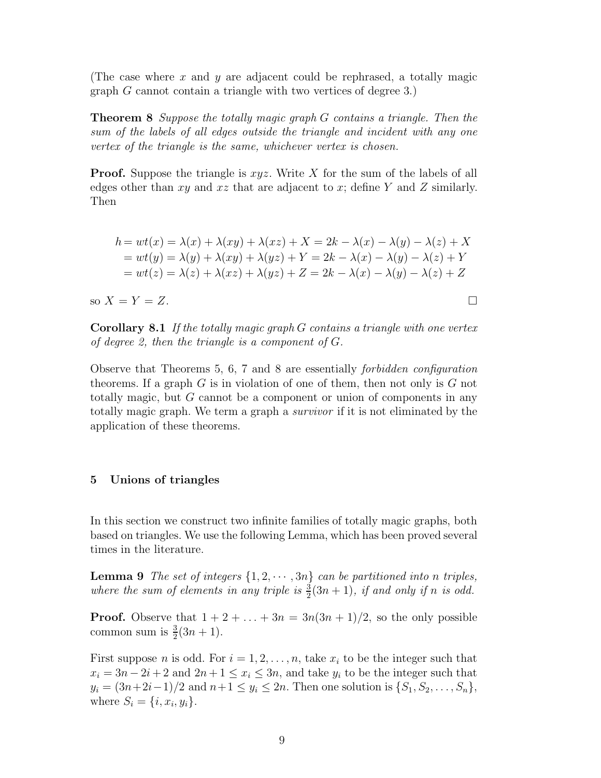(The case where  $x$  and  $y$  are adjacent could be rephrased, a totally magic graph G cannot contain a triangle with two vertices of degree 3.)

**Theorem 8** Suppose the totally magic graph G contains a triangle. Then the sum of the labels of all edges outside the triangle and incident with any one vertex of the triangle is the same, whichever vertex is chosen.

**Proof.** Suppose the triangle is  $xyz$ . Write X for the sum of the labels of all edges other than  $xy$  and  $xz$  that are adjacent to  $x$ ; define Y and Z similarly. Then

$$
h = wt(x) = \lambda(x) + \lambda(xy) + \lambda(xz) + X = 2k - \lambda(x) - \lambda(y) - \lambda(z) + X
$$
  
= wt(y) = \lambda(y) + \lambda(xy) + \lambda(yz) + Y = 2k - \lambda(x) - \lambda(y) - \lambda(z) + Y  
= wt(z) = \lambda(z) + \lambda(xz) + \lambda(yz) + Z = 2k - \lambda(x) - \lambda(y) - \lambda(z) + Z

so  $X = Y = Z$ .

**Corollary 8.1** If the totally magic graph G contains a triangle with one vertex of degree 2, then the triangle is a component of G.

Observe that Theorems 5, 6, 7 and 8 are essentially forbidden configuration theorems. If a graph  $G$  is in violation of one of them, then not only is  $G$  not totally magic, but G cannot be a component or union of components in any totally magic graph. We term a graph a survivor if it is not eliminated by the application of these theorems.

#### **5 Unions of triangles**

In this section we construct two infinite families of totally magic graphs, both based on triangles. We use the following Lemma, which has been proved several times in the literature.

**Lemma 9** The set of integers  $\{1, 2, \dots, 3n\}$  can be partitioned into n triples, where the sum of elements in any triple is  $\frac{3}{2}(3n+1)$ , if and only if n is odd.

**Proof.** Observe that  $1 + 2 + \ldots + 3n = 3n(3n + 1)/2$ , so the only possible common sum is  $\frac{3}{2}(3n+1)$ .

First suppose *n* is odd. For  $i = 1, 2, \ldots, n$ , take  $x_i$  to be the integer such that  $x_i = 3n - 2i + 2$  and  $2n + 1 \le x_i \le 3n$ , and take  $y_i$  to be the integer such that  $y_i = (3n+2i-1)/2$  and  $n+1 \le y_i \le 2n$ . Then one solution is  $\{S_1, S_2, \ldots, S_n\}$ , where  $S_i = \{i, x_i, y_i\}.$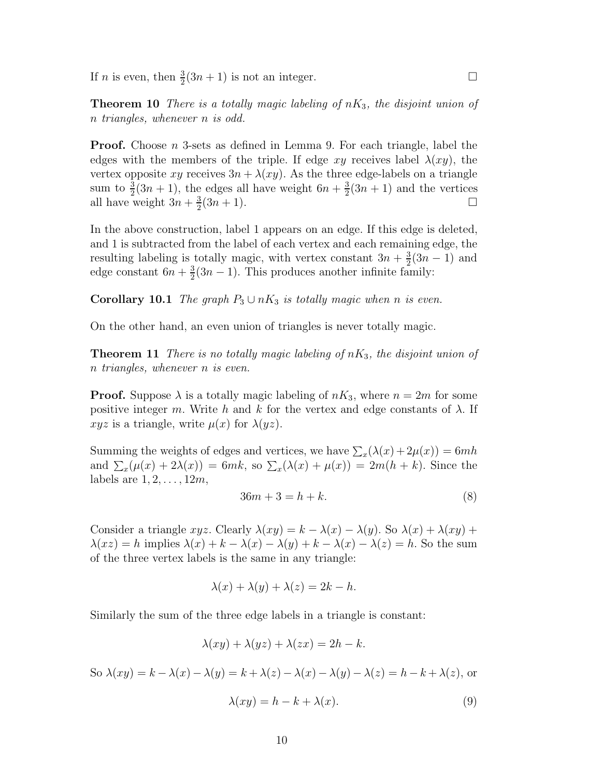If *n* is even, then  $\frac{3}{2}(3n+1)$  is not an integer.

**Theorem 10** There is a totally magic labeling of  $nK_3$ , the disjoint union of n triangles, whenever n is odd.

**Proof.** Choose *n* 3-sets as defined in Lemma 9. For each triangle, label the edges with the members of the triple. If edge xy receives label  $\lambda(xy)$ , the vertex opposite xy receives  $3n + \lambda(xy)$ . As the three edge-labels on a triangle sum to  $\frac{3}{2}(3n+1)$ , the edges all have weight  $6n + \frac{3}{2}(3n+1)$  and the vertices all have weight  $3n + \frac{3}{2}(3n + 1)$ .

In the above construction, label 1 appears on an edge. If this edge is deleted, and 1 is subtracted from the label of each vertex and each remaining edge, the resulting labeling is totally magic, with vertex constant  $3n + \frac{3}{2}(3n - 1)$  and edge constant  $6n + \frac{3}{2}(3n - 1)$ . This produces another infinite family:

**Corollary 10.1** The graph  $P_3 \cup nK_3$  is totally magic when n is even.

On the other hand, an even union of triangles is never totally magic.

**Theorem 11** There is no totally magic labeling of  $nK_3$ , the disjoint union of n triangles, whenever n is even.

**Proof.** Suppose  $\lambda$  is a totally magic labeling of  $nK_3$ , where  $n = 2m$  for some positive integer m. Write h and k for the vertex and edge constants of  $\lambda$ . If xyz is a triangle, write  $\mu(x)$  for  $\lambda(yz)$ .

Summing the weights of edges and vertices, we have  $\sum_{x}(\lambda(x)+2\mu(x))=6mh$ and  $\sum_x(\mu(x)+2\lambda(x)) = 6mk$ , so  $\sum_x(\lambda(x)+\mu(x)) = 2m(h+k)$ . Since the labels are  $1, 2, \ldots, 12m$ ,

$$
36m + 3 = h + k.\tag{8}
$$

Consider a triangle  $xyz$ . Clearly  $\lambda(xy) = k - \lambda(x) - \lambda(y)$ . So  $\lambda(x) + \lambda(xy) + \lambda(xy)$  $\lambda(xz) = h$  implies  $\lambda(x) + k - \lambda(x) - \lambda(y) + k - \lambda(x) - \lambda(z) = h$ . So the sum of the three vertex labels is the same in any triangle:

$$
\lambda(x) + \lambda(y) + \lambda(z) = 2k - h.
$$

Similarly the sum of the three edge labels in a triangle is constant:

$$
\lambda(xy) + \lambda(yz) + \lambda(zx) = 2h - k.
$$

So  $\lambda(xy) = k - \lambda(x) - \lambda(y) = k + \lambda(z) - \lambda(x) - \lambda(y) - \lambda(z) = k - k + \lambda(z)$ , or

$$
\lambda(xy) = h - k + \lambda(x). \tag{9}
$$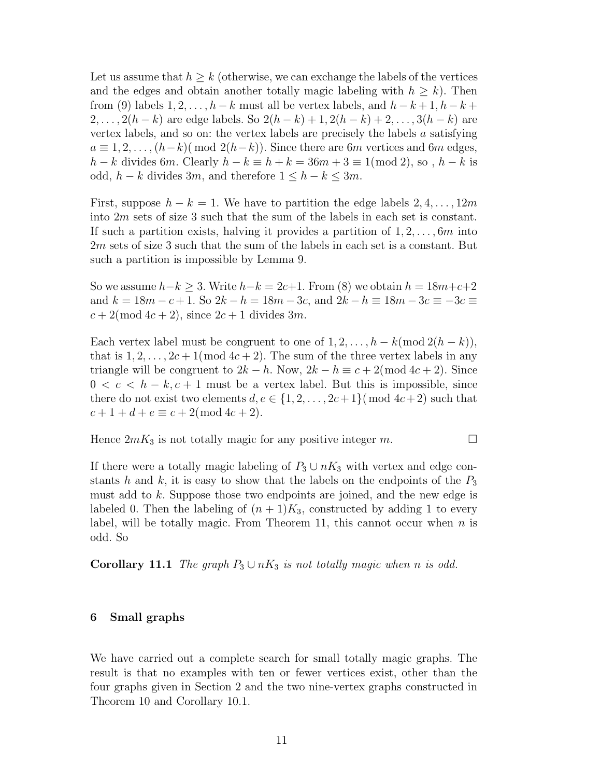Let us assume that  $h \geq k$  (otherwise, we can exchange the labels of the vertices and the edges and obtain another totally magic labeling with  $h \geq k$ ). Then from (9) labels  $1, 2, \ldots, h - k$  must all be vertex labels, and  $h - k + 1, h - k + 1$  $2,\ldots, 2(h-k)$  are edge labels. So  $2(h-k)+1, 2(h-k)+2,\ldots, 3(h-k)$  are vertex labels, and so on: the vertex labels are precisely the labels  $a$  satisfying  $a \equiv 1, 2, \ldots, (h-k) \pmod{2(h-k)}$ . Since there are 6m vertices and 6m edges,  $h - k$  divides 6m. Clearly  $h - k \equiv h + k = 36m + 3 \equiv 1 \pmod{2}$ , so,  $h - k$  is odd,  $h - k$  divides 3m, and therefore  $1 \leq h - k \leq 3m$ .

First, suppose  $h - k = 1$ . We have to partition the edge labels  $2, 4, \ldots, 12m$ into 2m sets of size 3 such that the sum of the labels in each set is constant. If such a partition exists, halving it provides a partition of  $1, 2, \ldots, 6m$  into 2m sets of size 3 such that the sum of the labels in each set is a constant. But such a partition is impossible by Lemma 9.

So we assume  $h-k \geq 3$ . Write  $h-k = 2c+1$ . From (8) we obtain  $h = 18m+c+2$ and  $k = 18m - c + 1$ . So  $2k - h = 18m - 3c$ , and  $2k - h = 18m - 3c = -3c$  $c + 2 \pmod{4c+2}$ , since  $2c + 1$  divides  $3m$ .

Each vertex label must be congruent to one of  $1, 2, \ldots, h - k \pmod{2(h-k)}$ , that is  $1, 2, \ldots, 2c + 1 \pmod{4c + 2}$ . The sum of the three vertex labels in any triangle will be congruent to  $2k - h$ . Now,  $2k - h \equiv c + 2 \pmod{4c + 2}$ . Since  $0 < c < h - k, c + 1$  must be a vertex label. But this is impossible, since there do not exist two elements  $d, e \in \{1, 2, \ldots, 2c+1\}$  (mod  $4c+2$ ) such that  $c + 1 + d + e \equiv c + 2 \pmod{4c + 2}.$ 

Hence  $2mK_3$  is not totally magic for any positive integer m.

If there were a totally magic labeling of  $P_3 \cup nK_3$  with vertex and edge constants h and k, it is easy to show that the labels on the endpoints of the  $P_3$ must add to k. Suppose those two endpoints are joined, and the new edge is labeled 0. Then the labeling of  $(n+1)K_3$ , constructed by adding 1 to every label, will be totally magic. From Theorem 11, this cannot occur when  $n$  is odd. So

**Corollary 11.1** The graph  $P_3 \cup nK_3$  is not totally magic when n is odd.

#### **6 Small graphs**

We have carried out a complete search for small totally magic graphs. The result is that no examples with ten or fewer vertices exist, other than the four graphs given in Section 2 and the two nine-vertex graphs constructed in Theorem 10 and Corollary 10.1.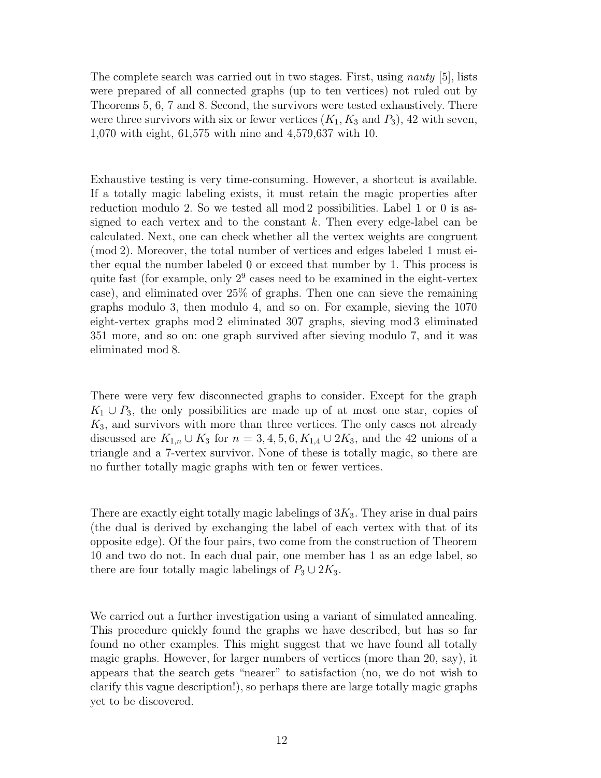The complete search was carried out in two stages. First, using nauty [5], lists were prepared of all connected graphs (up to ten vertices) not ruled out by Theorems 5, 6, 7 and 8. Second, the survivors were tested exhaustively. There were three survivors with six or fewer vertices  $(K_1, K_3 \text{ and } P_3)$ , 42 with seven, 1,070 with eight, 61,575 with nine and 4,579,637 with 10.

Exhaustive testing is very time-consuming. However, a shortcut is available. If a totally magic labeling exists, it must retain the magic properties after reduction modulo 2. So we tested all mod 2 possibilities. Label 1 or 0 is assigned to each vertex and to the constant  $k$ . Then every edge-label can be calculated. Next, one can check whether all the vertex weights are congruent (mod 2). Moreover, the total number of vertices and edges labeled 1 must either equal the number labeled 0 or exceed that number by 1. This process is quite fast (for example, only  $2^9$  cases need to be examined in the eight-vertex case), and eliminated over 25% of graphs. Then one can sieve the remaining graphs modulo 3, then modulo 4, and so on. For example, sieving the 1070 eight-vertex graphs mod 2 eliminated 307 graphs, sieving mod 3 eliminated 351 more, and so on: one graph survived after sieving modulo 7, and it was eliminated mod 8.

There were very few disconnected graphs to consider. Except for the graph  $K_1 \cup P_3$ , the only possibilities are made up of at most one star, copies of  $K_3$ , and survivors with more than three vertices. The only cases not already discussed are  $K_{1,n} \cup K_3$  for  $n = 3, 4, 5, 6, K_{1,4} \cup 2K_3$ , and the 42 unions of a triangle and a 7-vertex survivor. None of these is totally magic, so there are no further totally magic graphs with ten or fewer vertices.

There are exactly eight totally magic labelings of  $3K_3$ . They arise in dual pairs (the dual is derived by exchanging the label of each vertex with that of its opposite edge). Of the four pairs, two come from the construction of Theorem 10 and two do not. In each dual pair, one member has 1 as an edge label, so there are four totally magic labelings of  $P_3 \cup 2K_3$ .

We carried out a further investigation using a variant of simulated annealing. This procedure quickly found the graphs we have described, but has so far found no other examples. This might suggest that we have found all totally magic graphs. However, for larger numbers of vertices (more than 20, say), it appears that the search gets "nearer" to satisfaction (no, we do not wish to clarify this vague description!), so perhaps there are large totally magic graphs yet to be discovered.